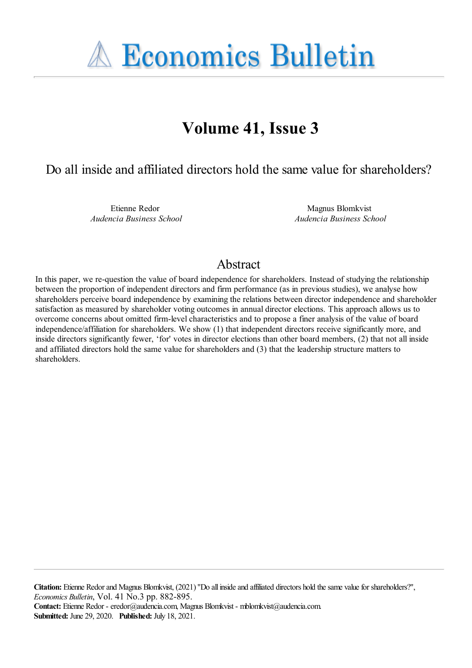**A Economics Bulletin** 

# **Volume 41, Issue 3**

Do all inside and affiliated directors hold the same value for shareholders?

Etienne Redor *Audencia Business School*

Magnus Blomkvist *Audencia Business School*

# Abstract

In this paper, we re-question the value of board independence for shareholders. Instead of studying the relationship between the proportion of independent directors and firm performance (as in previous studies), we analyse how shareholders perceive board independence by examining the relations between director independence and shareholder satisfaction as measured by shareholder voting outcomes in annual director elections. This approach allows us to overcome concerns about omitted firm-level characteristics and to propose a finer analysis of the value of board independence/affiliation for shareholders. We show (1) that independent directors receive significantly more, and inside directors significantly fewer, 'for' votes in director elections than other board members, (2) that not all inside and affiliated directors hold the same value for shareholders and (3) that the leadership structure matters to shareholders.

**Citation:** Etienne Redor and Magnus Blomkvist, (2021) "Do all inside and affiliated directors hold the same value for shareholders?", *Economics Bulletin*, Vol. 41 No.3 pp. 882-895. **Contact:** Etienne Redor - eredor@audencia.com, Magnus Blomkvist - mblomkvist@audencia.com.

**Submitted:** June 29, 2020. **Published:** July 18, 2021.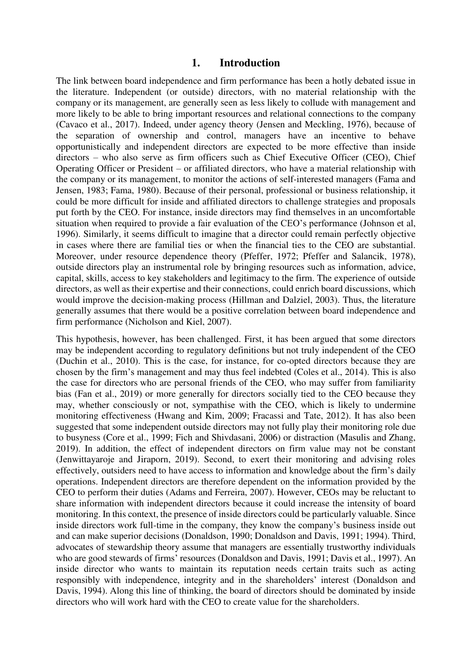#### **1. Introduction**

The link between board independence and firm performance has been a hotly debated issue in the literature. Independent (or outside) directors, with no material relationship with the company or its management, are generally seen as less likely to collude with management and more likely to be able to bring important resources and relational connections to the company (Cavaco et al., 2017). Indeed, under agency theory (Jensen and Meckling, 1976), because of the separation of ownership and control, managers have an incentive to behave opportunistically and independent directors are expected to be more effective than inside directors – who also serve as firm officers such as Chief Executive Officer (CEO), Chief Operating Officer or President – or affiliated directors, who have a material relationship with the company or its management, to monitor the actions of self-interested managers (Fama and Jensen, 1983; Fama, 1980). Because of their personal, professional or business relationship, it could be more difficult for inside and affiliated directors to challenge strategies and proposals put forth by the CEO. For instance, inside directors may find themselves in an uncomfortable situation when required to provide a fair evaluation of the CEO's performance (Johnson et al, 1996). Similarly, it seems difficult to imagine that a director could remain perfectly objective in cases where there are familial ties or when the financial ties to the CEO are substantial. Moreover, under resource dependence theory (Pfeffer, 1972; Pfeffer and Salancik, 1978), outside directors play an instrumental role by bringing resources such as information, advice, capital, skills, access to key stakeholders and legitimacy to the firm. The experience of outside directors, as well as their expertise and their connections, could enrich board discussions, which would improve the decision-making process (Hillman and Dalziel, 2003). Thus, the literature generally assumes that there would be a positive correlation between board independence and firm performance (Nicholson and Kiel, 2007).

This hypothesis, however, has been challenged. First, it has been argued that some directors may be independent according to regulatory definitions but not truly independent of the CEO (Duchin et al., 2010). This is the case, for instance, for co-opted directors because they are chosen by the firm's management and may thus feel indebted (Coles et al., 2014). This is also the case for directors who are personal friends of the CEO, who may suffer from familiarity bias (Fan et al., 2019) or more generally for directors socially tied to the CEO because they may, whether consciously or not, sympathise with the CEO, which is likely to undermine monitoring effectiveness (Hwang and Kim, 2009; Fracassi and Tate, 2012). It has also been suggested that some independent outside directors may not fully play their monitoring role due to busyness (Core et al., 1999; Fich and Shivdasani, 2006) or distraction (Masulis and Zhang, 2019). In addition, the effect of independent directors on firm value may not be constant (Jenwittayaroje and Jiraporn, 2019). Second, to exert their monitoring and advising roles effectively, outsiders need to have access to information and knowledge about the firm's daily operations. Independent directors are therefore dependent on the information provided by the CEO to perform their duties (Adams and Ferreira, 2007). However, CEOs may be reluctant to share information with independent directors because it could increase the intensity of board monitoring. In this context, the presence of inside directors could be particularly valuable. Since inside directors work full-time in the company, they know the company's business inside out and can make superior decisions (Donaldson, 1990; Donaldson and Davis, 1991; 1994). Third, advocates of stewardship theory assume that managers are essentially trustworthy individuals who are good stewards of firms' resources (Donaldson and Davis, 1991; Davis et al., 1997). An inside director who wants to maintain its reputation needs certain traits such as acting responsibly with independence, integrity and in the shareholders' interest (Donaldson and Davis, 1994). Along this line of thinking, the board of directors should be dominated by inside directors who will work hard with the CEO to create value for the shareholders.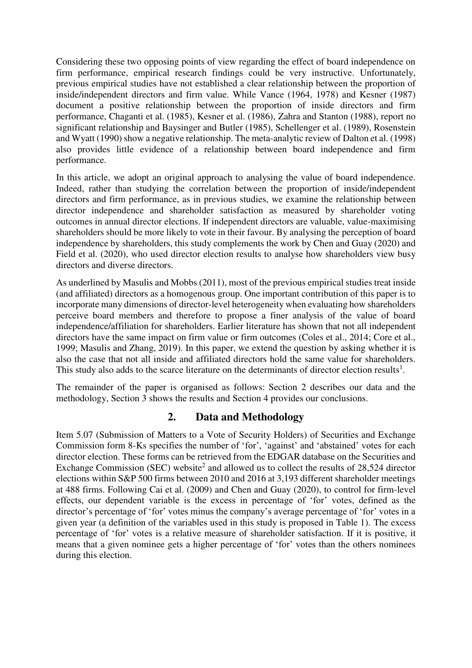Considering these two opposing points of view regarding the effect of board independence on firm performance, empirical research findings could be very instructive. Unfortunately, previous empirical studies have not established a clear relationship between the proportion of inside/independent directors and firm value. While Vance (1964, 1978) and Kesner (1987) document a positive relationship between the proportion of inside directors and firm performance, Chaganti et al. (1985), Kesner et al. (1986), Zahra and Stanton (1988), report no significant relationship and Baysinger and Butler (1985), Schellenger et al. (1989), Rosenstein and Wyatt (1990) show a negative relationship. The meta-analytic review of Dalton et al. (1998) also provides little evidence of a relationship between board independence and firm performance.

In this article, we adopt an original approach to analysing the value of board independence. Indeed, rather than studying the correlation between the proportion of inside/independent directors and firm performance, as in previous studies, we examine the relationship between director independence and shareholder satisfaction as measured by shareholder voting outcomes in annual director elections. If independent directors are valuable, value-maximising shareholders should be more likely to vote in their favour. By analysing the perception of board independence by shareholders, this study complements the work by Chen and Guay (2020) and Field et al. (2020), who used director election results to analyse how shareholders view busy directors and diverse directors.

As underlined by Masulis and Mobbs (2011), most of the previous empirical studies treat inside (and affiliated) directors as a homogenous group. One important contribution of this paper is to incorporate many dimensions of director-level heterogeneity when evaluating how shareholders perceive board members and therefore to propose a finer analysis of the value of board independence/affiliation for shareholders. Earlier literature has shown that not all independent directors have the same impact on firm value or firm outcomes (Coles et al., 2014; Core et al., 1999; Masulis and Zhang, 2019). In this paper, we extend the question by asking whether it is also the case that not all inside and affiliated directors hold the same value for shareholders. This study also adds to the scarce literature on the determinants of director election results<sup>1</sup>.

The remainder of the paper is organised as follows: Section 2 describes our data and the methodology, Section 3 shows the results and Section 4 provides our conclusions.

# **2. Data and Methodology**

Item 5.07 (Submission of Matters to a Vote of Security Holders) of Securities and Exchange Commission form 8-Ks specifies the number of 'for', 'against' and 'abstained' votes for each director election. These forms can be retrieved from the EDGAR database on the Securities and Exchange Commission (SEC) website<sup>2</sup> and allowed us to collect the results of 28,524 director elections within S&P 500 firms between 2010 and 2016 at 3,193 different shareholder meetings at 488 firms. Following Cai et al. (2009) and Chen and Guay (2020), to control for firm-level effects, our dependent variable is the excess in percentage of 'for' votes, defined as the director's percentage of 'for' votes minus the company's average percentage of 'for' votes in a given year (a definition of the variables used in this study is proposed in Table 1). The excess percentage of 'for' votes is a relative measure of shareholder satisfaction. If it is positive, it means that a given nominee gets a higher percentage of 'for' votes than the others nominees during this election.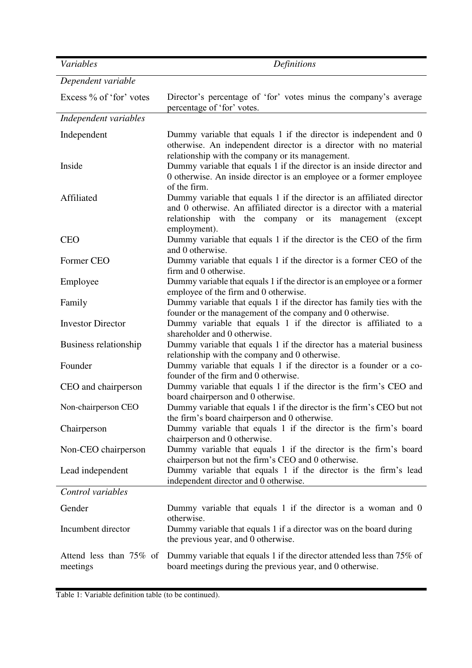| Variables                           | Definitions                                                                                                                                                                                                                |
|-------------------------------------|----------------------------------------------------------------------------------------------------------------------------------------------------------------------------------------------------------------------------|
| Dependent variable                  |                                                                                                                                                                                                                            |
| Excess % of 'for' votes             | Director's percentage of 'for' votes minus the company's average<br>percentage of 'for' votes.                                                                                                                             |
| Independent variables               |                                                                                                                                                                                                                            |
| Independent                         | Dummy variable that equals 1 if the director is independent and 0<br>otherwise. An independent director is a director with no material<br>relationship with the company or its management.                                 |
| Inside                              | Dummy variable that equals 1 if the director is an inside director and<br>0 otherwise. An inside director is an employee or a former employee<br>of the firm.                                                              |
| Affiliated                          | Dummy variable that equals 1 if the director is an affiliated director<br>and 0 otherwise. An affiliated director is a director with a material<br>relationship with the company or its management (except<br>employment). |
| <b>CEO</b>                          | Dummy variable that equals 1 if the director is the CEO of the firm<br>and 0 otherwise.                                                                                                                                    |
| Former CEO                          | Dummy variable that equals 1 if the director is a former CEO of the<br>firm and 0 otherwise.                                                                                                                               |
| Employee                            | Dummy variable that equals 1 if the director is an employee or a former<br>employee of the firm and 0 otherwise.                                                                                                           |
| Family                              | Dummy variable that equals 1 if the director has family ties with the<br>founder or the management of the company and 0 otherwise.                                                                                         |
| <b>Investor Director</b>            | Dummy variable that equals 1 if the director is affiliated to a<br>shareholder and 0 otherwise.                                                                                                                            |
| Business relationship               | Dummy variable that equals 1 if the director has a material business<br>relationship with the company and 0 otherwise.                                                                                                     |
| Founder                             | Dummy variable that equals 1 if the director is a founder or a co-<br>founder of the firm and 0 otherwise.                                                                                                                 |
| CEO and chairperson                 | Dummy variable that equals 1 if the director is the firm's CEO and<br>board chairperson and 0 otherwise.                                                                                                                   |
| Non-chairperson CEO                 | Dummy variable that equals 1 if the director is the firm's CEO but not<br>the firm's board chairperson and 0 otherwise.                                                                                                    |
| Chairperson                         | Dummy variable that equals 1 if the director is the firm's board<br>chairperson and 0 otherwise.                                                                                                                           |
| Non-CEO chairperson                 | Dummy variable that equals 1 if the director is the firm's board<br>chairperson but not the firm's CEO and 0 otherwise.                                                                                                    |
| Lead independent                    | Dummy variable that equals 1 if the director is the firm's lead<br>independent director and 0 otherwise.                                                                                                                   |
| Control variables                   |                                                                                                                                                                                                                            |
| Gender                              | Dummy variable that equals 1 if the director is a woman and 0<br>otherwise.                                                                                                                                                |
| Incumbent director                  | Dummy variable that equals 1 if a director was on the board during<br>the previous year, and 0 otherwise.                                                                                                                  |
| Attend less than 75% of<br>meetings | Dummy variable that equals 1 if the director attended less than 75% of<br>board meetings during the previous year, and 0 otherwise.                                                                                        |

Table 1: Variable definition table (to be continued).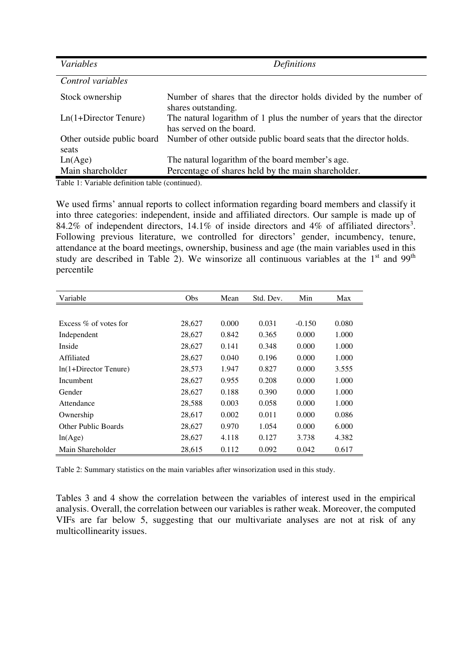| Variables                           | <b>Definitions</b>                                                                                |
|-------------------------------------|---------------------------------------------------------------------------------------------------|
| Control variables                   |                                                                                                   |
| Stock ownership                     | Number of shares that the director holds divided by the number of<br>shares outstanding.          |
| $Ln(1+Director Tenure)$             | The natural logarithm of 1 plus the number of years that the director<br>has served on the board. |
| Other outside public board<br>seats | Number of other outside public board seats that the director holds.                               |
| Ln(Age)                             | The natural logarithm of the board member's age.                                                  |
| Main shareholder                    | Percentage of shares held by the main shareholder.                                                |

Table 1: Variable definition table (continued).

We used firms' annual reports to collect information regarding board members and classify it into three categories: independent, inside and affiliated directors. Our sample is made up of 84.2% of independent directors, 14.1% of inside directors and 4% of affiliated directors<sup>3</sup>. Following previous literature, we controlled for directors' gender, incumbency, tenure, attendance at the board meetings, ownership, business and age (the main variables used in this study are described in Table 2). We winsorize all continuous variables at the  $1<sup>st</sup>$  and  $99<sup>th</sup>$ percentile

| Variable                   | Obs    | Mean  | Std. Dev. | Min      | Max   |
|----------------------------|--------|-------|-----------|----------|-------|
|                            |        |       |           |          |       |
| Excess $\%$ of votes for   | 28,627 | 0.000 | 0.031     | $-0.150$ | 0.080 |
| Independent                | 28,627 | 0.842 | 0.365     | 0.000    | 1.000 |
| Inside                     | 28.627 | 0.141 | 0.348     | 0.000    | 1.000 |
| Affiliated                 | 28,627 | 0.040 | 0.196     | 0.000    | 1.000 |
| $ln(1+Director Tenure)$    | 28,573 | 1.947 | 0.827     | 0.000    | 3.555 |
| Incumbent                  | 28,627 | 0.955 | 0.208     | 0.000    | 1.000 |
| Gender                     | 28,627 | 0.188 | 0.390     | 0.000    | 1.000 |
| Attendance                 | 28,588 | 0.003 | 0.058     | 0.000    | 1.000 |
| Ownership                  | 28,617 | 0.002 | 0.011     | 0.000    | 0.086 |
| <b>Other Public Boards</b> | 28,627 | 0.970 | 1.054     | 0.000    | 6.000 |
| ln(Age)                    | 28,627 | 4.118 | 0.127     | 3.738    | 4.382 |
| Main Shareholder           | 28,615 | 0.112 | 0.092     | 0.042    | 0.617 |

Table 2: Summary statistics on the main variables after winsorization used in this study.

Tables 3 and 4 show the correlation between the variables of interest used in the empirical analysis. Overall, the correlation between our variables is rather weak. Moreover, the computed VIFs are far below 5, suggesting that our multivariate analyses are not at risk of any multicollinearity issues.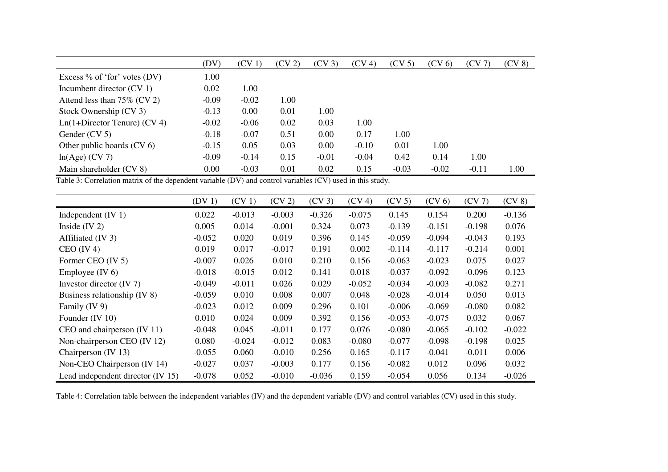|                                 | (DV)    | $(CV_1)$ | (CV <sub>2</sub> ) | $(CV_3)$ | (CV 4)  | (CV <sub>5</sub> ) | (CV <sub>6</sub> ) | (CV7)   | $(CV_8)$ |
|---------------------------------|---------|----------|--------------------|----------|---------|--------------------|--------------------|---------|----------|
| Excess $\%$ of 'for' votes (DV) | 1.00    |          |                    |          |         |                    |                    |         |          |
| Incumbent director $(CV_1)$     | 0.02    | 1.00     |                    |          |         |                    |                    |         |          |
| Attend less than $75\%$ (CV 2)  | $-0.09$ | $-0.02$  | 1.00               |          |         |                    |                    |         |          |
| Stock Ownership (CV 3)          | $-0.13$ | 0.00     | 0.01               | 1.00     |         |                    |                    |         |          |
| $Ln(1+Director Tenure) (CV 4)$  | $-0.02$ | $-0.06$  | 0.02               | 0.03     | 1.00    |                    |                    |         |          |
| Gender (CV 5)                   | $-0.18$ | $-0.07$  | 0.51               | 0.00     | 0.17    | 1.00               |                    |         |          |
| Other public boards $(CV_6)$    | $-0.15$ | 0.05     | 0.03               | 0.00     | $-0.10$ | 0.01               | 1.00               |         |          |
| $ln(Age)$ (CV 7)                | $-0.09$ | $-0.14$  | 0.15               | $-0.01$  | $-0.04$ | 0.42               | 0.14               | 1.00    |          |
| Main shareholder (CV 8)         | 0.00    | $-0.03$  | 0.01               | 0.02     | 0.15    | $-0.03$            | $-0.02$            | $-0.11$ | 1.00     |

Table 3: Correlation matrix of the dependent variable (DV) and control variables (CV) used in this study.

|                                   | $(DV_1)$ | $(CV_1)$ | (CV <sub>2</sub> ) | $(CV_3)$ | (CV <sub>4</sub> ) | (CV <sub>5</sub> ) | (CV <sub>6</sub> ) | (CV7)    | $(CV_8)$ |
|-----------------------------------|----------|----------|--------------------|----------|--------------------|--------------------|--------------------|----------|----------|
| Independent $(IV 1)$              | 0.022    | $-0.013$ | $-0.003$           | $-0.326$ | $-0.075$           | 0.145              | 0.154              | 0.200    | $-0.136$ |
| Inside $(IV 2)$                   | 0.005    | 0.014    | $-0.001$           | 0.324    | 0.073              | $-0.139$           | $-0.151$           | $-0.198$ | 0.076    |
| Affiliated (IV 3)                 | $-0.052$ | 0.020    | 0.019              | 0.396    | 0.145              | $-0.059$           | $-0.094$           | $-0.043$ | 0.193    |
| $CEO$ (IV 4)                      | 0.019    | 0.017    | $-0.017$           | 0.191    | 0.002              | $-0.114$           | $-0.117$           | $-0.214$ | 0.001    |
| Former CEO (IV 5)                 | $-0.007$ | 0.026    | 0.010              | 0.210    | 0.156              | $-0.063$           | $-0.023$           | 0.075    | 0.027    |
| Employee $(IV 6)$                 | $-0.018$ | $-0.015$ | 0.012              | 0.141    | 0.018              | $-0.037$           | $-0.092$           | $-0.096$ | 0.123    |
| Investor director $(IV 7)$        | $-0.049$ | $-0.011$ | 0.026              | 0.029    | $-0.052$           | $-0.034$           | $-0.003$           | $-0.082$ | 0.271    |
| Business relationship (IV 8)      | $-0.059$ | 0.010    | 0.008              | 0.007    | 0.048              | $-0.028$           | $-0.014$           | 0.050    | 0.013    |
| Family (IV 9)                     | $-0.023$ | 0.012    | 0.009              | 0.296    | 0.101              | $-0.006$           | $-0.069$           | $-0.080$ | 0.082    |
| Founder (IV $10$ )                | 0.010    | 0.024    | 0.009              | 0.392    | 0.156              | $-0.053$           | $-0.075$           | 0.032    | 0.067    |
| CEO and chairperson $(IV 11)$     | $-0.048$ | 0.045    | $-0.011$           | 0.177    | 0.076              | $-0.080$           | $-0.065$           | $-0.102$ | $-0.022$ |
| Non-chairperson CEO (IV 12)       | 0.080    | $-0.024$ | $-0.012$           | 0.083    | $-0.080$           | $-0.077$           | $-0.098$           | $-0.198$ | 0.025    |
| Chairperson $(IV 13)$             | $-0.055$ | 0.060    | $-0.010$           | 0.256    | 0.165              | $-0.117$           | $-0.041$           | $-0.011$ | 0.006    |
| Non-CEO Chairperson (IV 14)       | $-0.027$ | 0.037    | $-0.003$           | 0.177    | 0.156              | $-0.082$           | 0.012              | 0.096    | 0.032    |
| Lead independent director (IV 15) | $-0.078$ | 0.052    | $-0.010$           | $-0.036$ | 0.159              | $-0.054$           | 0.056              | 0.134    | $-0.026$ |

Table 4: Correlation table between the independent variables (IV) and the dependent variable (DV) and control variables (CV) used in this study.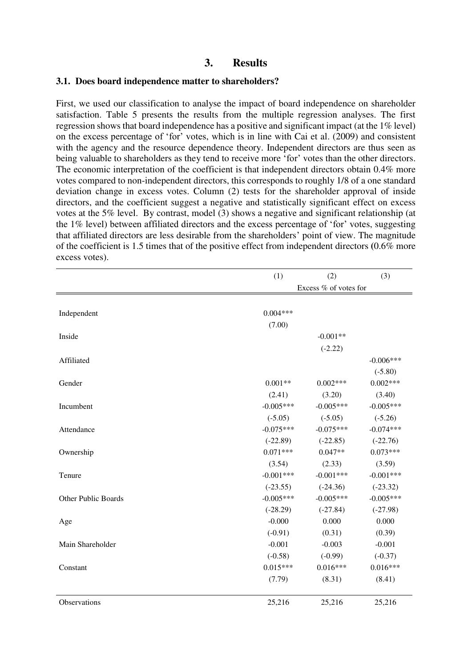# **3. Results**

#### **3.1. Does board independence matter to shareholders?**

First, we used our classification to analyse the impact of board independence on shareholder satisfaction. Table 5 presents the results from the multiple regression analyses. The first regression shows that board independence has a positive and significant impact (at the 1% level) on the excess percentage of 'for' votes, which is in line with Cai et al. (2009) and consistent with the agency and the resource dependence theory. Independent directors are thus seen as being valuable to shareholders as they tend to receive more 'for' votes than the other directors. The economic interpretation of the coefficient is that independent directors obtain 0.4% more votes compared to non-independent directors, this corresponds to roughly 1/8 of a one standard deviation change in excess votes. Column (2) tests for the shareholder approval of inside directors, and the coefficient suggest a negative and statistically significant effect on excess votes at the 5% level. By contrast, model (3) shows a negative and significant relationship (at the 1% level) between affiliated directors and the excess percentage of 'for' votes, suggesting that affiliated directors are less desirable from the shareholders' point of view. The magnitude of the coefficient is 1.5 times that of the positive effect from independent directors **(**0.6% more excess votes).

|                     | (1)                   | (2)         | (3)         |  |  |  |  |
|---------------------|-----------------------|-------------|-------------|--|--|--|--|
|                     | Excess % of votes for |             |             |  |  |  |  |
|                     |                       |             |             |  |  |  |  |
| Independent         | $0.004***$            |             |             |  |  |  |  |
|                     | (7.00)                |             |             |  |  |  |  |
| Inside              |                       | $-0.001**$  |             |  |  |  |  |
|                     |                       | $(-2.22)$   |             |  |  |  |  |
| Affiliated          |                       |             | $-0.006***$ |  |  |  |  |
|                     |                       |             | $(-5.80)$   |  |  |  |  |
| Gender              | $0.001**$             | $0.002***$  | $0.002***$  |  |  |  |  |
|                     | (2.41)                | (3.20)      | (3.40)      |  |  |  |  |
| Incumbent           | $-0.005***$           | $-0.005***$ | $-0.005***$ |  |  |  |  |
|                     | $(-5.05)$             | $(-5.05)$   | $(-5.26)$   |  |  |  |  |
| Attendance          | $-0.075***$           | $-0.075***$ | $-0.074***$ |  |  |  |  |
|                     | $(-22.89)$            | $(-22.85)$  | $(-22.76)$  |  |  |  |  |
| Ownership           | $0.071***$            | $0.047**$   | $0.073***$  |  |  |  |  |
|                     | (3.54)                | (2.33)      | (3.59)      |  |  |  |  |
| Tenure              | $-0.001***$           | $-0.001***$ | $-0.001***$ |  |  |  |  |
|                     | $(-23.55)$            | $(-24.36)$  | $(-23.32)$  |  |  |  |  |
| Other Public Boards | $-0.005***$           | $-0.005***$ | $-0.005***$ |  |  |  |  |
|                     | $(-28.29)$            | $(-27.84)$  | $(-27.98)$  |  |  |  |  |
| Age                 | $-0.000$              | 0.000       | 0.000       |  |  |  |  |
|                     | $(-0.91)$             | (0.31)      | (0.39)      |  |  |  |  |
| Main Shareholder    | $-0.001$              | $-0.003$    | $-0.001$    |  |  |  |  |
|                     | $(-0.58)$             | $(-0.99)$   | $(-0.37)$   |  |  |  |  |
| Constant            | $0.015***$            | $0.016***$  | $0.016***$  |  |  |  |  |
|                     | (7.79)                | (8.31)      | (8.41)      |  |  |  |  |
| Observations        | 25,216                | 25,216      | 25,216      |  |  |  |  |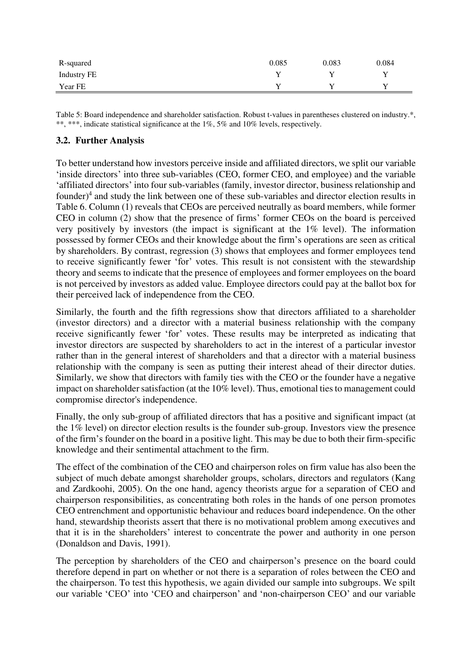| R-squared   | 0.085 | 0.083 | 0.084 |
|-------------|-------|-------|-------|
| Industry FE |       |       |       |
| Year FE     |       |       |       |

Table 5: Board independence and shareholder satisfaction. Robust t-values in parentheses clustered on industry.\*, \*\*, \*\*\*, indicate statistical significance at the 1%, 5% and 10% levels, respectively.

### **3.2. Further Analysis**

To better understand how investors perceive inside and affiliated directors, we split our variable 'inside directors' into three sub-variables (CEO, former CEO, and employee) and the variable 'affiliated directors' into four sub-variables (family, investor director, business relationship and founder) $4$  and study the link between one of these sub-variables and director election results in Table 6. Column (1) reveals that CEOs are perceived neutrally as board members, while former CEO in column (2) show that the presence of firms' former CEOs on the board is perceived very positively by investors (the impact is significant at the 1% level). The information possessed by former CEOs and their knowledge about the firm's operations are seen as critical by shareholders. By contrast, regression (3) shows that employees and former employees tend to receive significantly fewer 'for' votes. This result is not consistent with the stewardship theory and seems to indicate that the presence of employees and former employees on the board is not perceived by investors as added value. Employee directors could pay at the ballot box for their perceived lack of independence from the CEO.

Similarly, the fourth and the fifth regressions show that directors affiliated to a shareholder (investor directors) and a director with a material business relationship with the company receive significantly fewer 'for' votes. These results may be interpreted as indicating that investor directors are suspected by shareholders to act in the interest of a particular investor rather than in the general interest of shareholders and that a director with a material business relationship with the company is seen as putting their interest ahead of their director duties. Similarly, we show that directors with family ties with the CEO or the founder have a negative impact on shareholder satisfaction (at the 10% level). Thus, emotional ties to management could compromise director's independence.

Finally, the only sub-group of affiliated directors that has a positive and significant impact (at the 1% level) on director election results is the founder sub-group. Investors view the presence of the firm's founder on the board in a positive light. This may be due to both their firm-specific knowledge and their sentimental attachment to the firm.

The effect of the combination of the CEO and chairperson roles on firm value has also been the subject of much debate amongst shareholder groups, scholars, directors and regulators (Kang and Zardkoohi, 2005). On the one hand, agency theorists argue for a separation of CEO and chairperson responsibilities, as concentrating both roles in the hands of one person promotes CEO entrenchment and opportunistic behaviour and reduces board independence. On the other hand, stewardship theorists assert that there is no motivational problem among executives and that it is in the shareholders' interest to concentrate the power and authority in one person (Donaldson and Davis, 1991).

The perception by shareholders of the CEO and chairperson's presence on the board could therefore depend in part on whether or not there is a separation of roles between the CEO and the chairperson. To test this hypothesis, we again divided our sample into subgroups. We spilt our variable 'CEO' into 'CEO and chairperson' and 'non-chairperson CEO' and our variable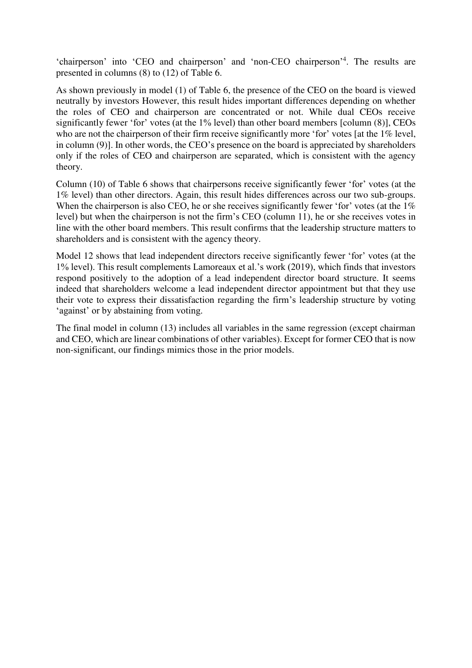'chairperson' into 'CEO and chairperson' and 'non-CEO chairperson'<sup>4</sup> . The results are presented in columns (8) to (12) of Table 6.

As shown previously in model (1) of Table 6, the presence of the CEO on the board is viewed neutrally by investors However, this result hides important differences depending on whether the roles of CEO and chairperson are concentrated or not. While dual CEOs receive significantly fewer 'for' votes (at the 1% level) than other board members [column (8)], CEOs who are not the chairperson of their firm receive significantly more 'for' votes [at the 1% level, in column (9)]. In other words, the CEO's presence on the board is appreciated by shareholders only if the roles of CEO and chairperson are separated, which is consistent with the agency theory.

Column (10) of Table 6 shows that chairpersons receive significantly fewer 'for' votes (at the 1% level) than other directors. Again, this result hides differences across our two sub-groups. When the chairperson is also CEO, he or she receives significantly fewer 'for' votes (at the  $1\%$ ) level) but when the chairperson is not the firm's CEO (column 11), he or she receives votes in line with the other board members. This result confirms that the leadership structure matters to shareholders and is consistent with the agency theory.

Model 12 shows that lead independent directors receive significantly fewer 'for' votes (at the 1% level). This result complements Lamoreaux et al.'s work (2019), which finds that investors respond positively to the adoption of a lead independent director board structure. It seems indeed that shareholders welcome a lead independent director appointment but that they use their vote to express their dissatisfaction regarding the firm's leadership structure by voting 'against' or by abstaining from voting.

The final model in column (13) includes all variables in the same regression (except chairman and CEO, which are linear combinations of other variables). Except for former CEO that is now non-significant, our findings mimics those in the prior models.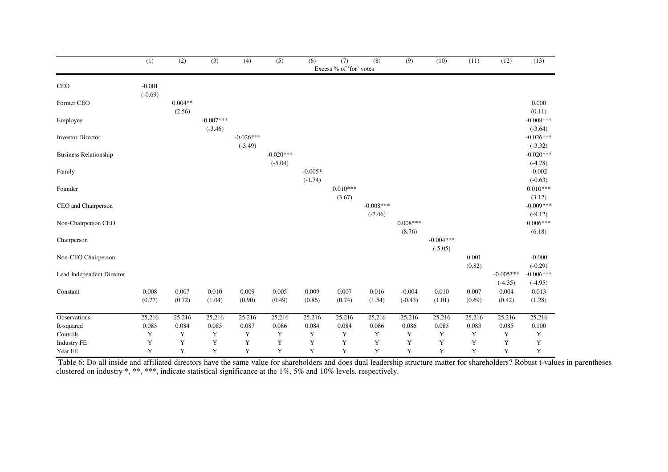|                              | (1)                   | (2)                 | (3)                      | (4)                      | (5)                      | (6)                    | (7)<br>Excess % of 'for' votes | (8)                      | (9)                   | (10)                     | (11)            | (12)                     | (13)                     |
|------------------------------|-----------------------|---------------------|--------------------------|--------------------------|--------------------------|------------------------|--------------------------------|--------------------------|-----------------------|--------------------------|-----------------|--------------------------|--------------------------|
|                              |                       |                     |                          |                          |                          |                        |                                |                          |                       |                          |                 |                          |                          |
| <b>CEO</b>                   | $-0.001$<br>$(-0.69)$ |                     |                          |                          |                          |                        |                                |                          |                       |                          |                 |                          |                          |
| Former CEO                   |                       | $0.004**$<br>(2.56) |                          |                          |                          |                        |                                |                          |                       |                          |                 |                          | 0.000<br>(0.11)          |
| Employee                     |                       |                     | $-0.007***$<br>$(-3.46)$ |                          |                          |                        |                                |                          |                       |                          |                 |                          | $-0.008***$<br>$(-3.64)$ |
| <b>Investor Director</b>     |                       |                     |                          | $-0.026***$<br>$(-3.49)$ |                          |                        |                                |                          |                       |                          |                 |                          | $-0.026***$<br>$(-3.32)$ |
| <b>Business Relationship</b> |                       |                     |                          |                          | $-0.020***$<br>$(-5.04)$ |                        |                                |                          |                       |                          |                 |                          | $-0.020***$<br>$(-4.78)$ |
| Family                       |                       |                     |                          |                          |                          | $-0.005*$<br>$(-1.74)$ |                                |                          |                       |                          |                 |                          | $-0.002$<br>$(-0.63)$    |
| Founder                      |                       |                     |                          |                          |                          |                        | $0.010***$<br>(3.67)           |                          |                       |                          |                 |                          | $0.010***$<br>(3.12)     |
| CEO and Chairperson          |                       |                     |                          |                          |                          |                        |                                | $-0.008***$<br>$(-7.46)$ |                       |                          |                 |                          | $-0.009***$<br>$(-9.12)$ |
| Non-Chairperson CEO          |                       |                     |                          |                          |                          |                        |                                |                          | $0.008***$<br>(8.76)  |                          |                 |                          | $0.006***$<br>(6.18)     |
| Chairperson                  |                       |                     |                          |                          |                          |                        |                                |                          |                       | $-0.004***$<br>$(-5.05)$ |                 |                          |                          |
| Non-CEO Chairperson          |                       |                     |                          |                          |                          |                        |                                |                          |                       |                          | 0.001<br>(0.82) |                          | $-0.000$<br>$(-0.29)$    |
| Lead Independent Director    |                       |                     |                          |                          |                          |                        |                                |                          |                       |                          |                 | $-0.005***$<br>$(-4.35)$ | $-0.006***$<br>$(-4.95)$ |
| Constant                     | 0.008<br>(0.77)       | 0.007<br>(0.72)     | 0.010<br>(1.04)          | 0.009<br>(0.90)          | 0.005<br>(0.49)          | 0.009<br>(0.86)        | 0.007<br>(0.74)                | 0.016<br>(1.54)          | $-0.004$<br>$(-0.43)$ | 0.010<br>(1.01)          | 0.007<br>(0.69) | 0.004<br>(0.42)          | 0.013<br>(1.28)          |
| Observations                 | 25,216                | 25,216              | 25,216                   | 25,216                   | 25,216                   | 25,216                 | 25,216                         | 25,216                   | 25,216                | 25,216                   | 25,216          | 25,216                   | 25,216                   |
| R-squared                    | 0.083                 | 0.084               | 0.085                    | 0.087                    | 0.086                    | 0.084                  | 0.084                          | 0.086                    | 0.086                 | 0.085                    | 0.083           | 0.085                    | 0.100                    |
| Controls                     | Y                     | Y                   | Y                        | Y                        | Y                        | Y                      | Y                              | Y                        | $\mathbf Y$           | Y                        | Y               | Y                        | Y                        |
| <b>Industry FE</b>           | $\mathbf Y$           | $\mathbf Y$         | $\mathbf Y$              | $\mathbf Y$              | $\mathbf Y$              | $\mathbf Y$            | $\mathbf Y$                    | $\mathbf Y$              | $\mathbf Y$           | $\mathbf Y$              | $\mathbf Y$     | $\mathbf Y$              | $\mathbf Y$              |
| Year FE                      | Y                     | Y                   | Y                        | Y                        | Y                        | Y                      | Y                              | Y                        | Y                     | Y                        | Y               | Y                        | Y                        |

Table 6: Do all inside and affiliated directors have the same value for shareholders and does dual leadership structure matter for shareholders? Robust t-values in parentheses clustered on industry \*, \*\*, \*\*\*, indicate statistical significance at the 1%, 5% and 10% levels, respectively.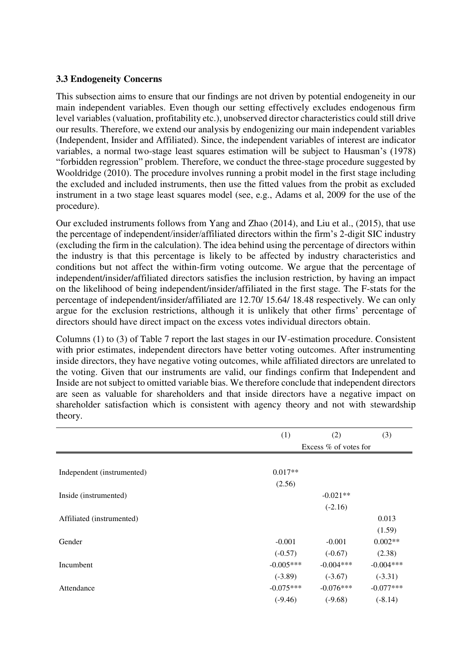#### **3.3 Endogeneity Concerns**

This subsection aims to ensure that our findings are not driven by potential endogeneity in our main independent variables. Even though our setting effectively excludes endogenous firm level variables (valuation, profitability etc.), unobserved director characteristics could still drive our results. Therefore, we extend our analysis by endogenizing our main independent variables (Independent, Insider and Affiliated). Since, the independent variables of interest are indicator variables, a normal two-stage least squares estimation will be subject to Hausman's (1978) "forbidden regression" problem. Therefore, we conduct the three-stage procedure suggested by Wooldridge (2010). The procedure involves running a probit model in the first stage including the excluded and included instruments, then use the fitted values from the probit as excluded instrument in a two stage least squares model (see, e.g., Adams et al, 2009 for the use of the procedure).

Our excluded instruments follows from Yang and Zhao (2014), and Liu et al., (2015), that use the percentage of independent/insider/affiliated directors within the firm's 2-digit SIC industry (excluding the firm in the calculation). The idea behind using the percentage of directors within the industry is that this percentage is likely to be affected by industry characteristics and conditions but not affect the within-firm voting outcome. We argue that the percentage of independent/insider/affiliated directors satisfies the inclusion restriction, by having an impact on the likelihood of being independent/insider/affiliated in the first stage. The F-stats for the percentage of independent/insider/affiliated are 12.70/ 15.64/ 18.48 respectively. We can only argue for the exclusion restrictions, although it is unlikely that other firms' percentage of directors should have direct impact on the excess votes individual directors obtain.

Columns (1) to (3) of Table 7 report the last stages in our IV-estimation procedure. Consistent with prior estimates, independent directors have better voting outcomes. After instrumenting inside directors, they have negative voting outcomes, while affiliated directors are unrelated to the voting. Given that our instruments are valid, our findings confirm that Independent and Inside are not subject to omitted variable bias. We therefore conclude that independent directors are seen as valuable for shareholders and that inside directors have a negative impact on shareholder satisfaction which is consistent with agency theory and not with stewardship theory.

|                            | (1)         | (2)                     | (3)         |
|----------------------------|-------------|-------------------------|-------------|
|                            |             | Excess $%$ of votes for |             |
|                            |             |                         |             |
| Independent (instrumented) | $0.017**$   |                         |             |
|                            | (2.56)      |                         |             |
| Inside (instrumented)      |             | $-0.021**$              |             |
|                            |             | $(-2.16)$               |             |
| Affiliated (instrumented)  |             |                         | 0.013       |
|                            |             |                         | (1.59)      |
| Gender                     | $-0.001$    | $-0.001$                | $0.002**$   |
|                            | $(-0.57)$   | $(-0.67)$               | (2.38)      |
| Incumbent                  | $-0.005***$ | $-0.004***$             | $-0.004***$ |
|                            | $(-3.89)$   | $(-3.67)$               | $(-3.31)$   |
| Attendance                 | $-0.075***$ | $-0.076***$             | $-0.077***$ |
|                            | $(-9.46)$   | $(-9.68)$               | $(-8.14)$   |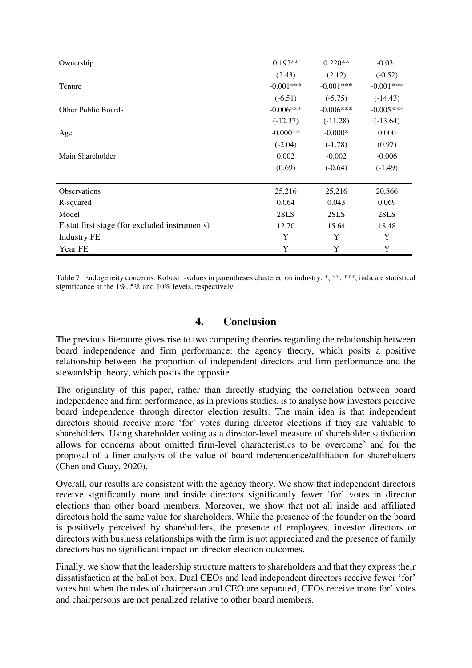| Ownership                                     | $0.192**$   | $0.220**$   | $-0.031$    |
|-----------------------------------------------|-------------|-------------|-------------|
|                                               | (2.43)      | (2.12)      | $(-0.52)$   |
| Tenure                                        | $-0.001***$ | $-0.001***$ | $-0.001***$ |
|                                               | $(-6.51)$   | $(-5.75)$   | $(-14.43)$  |
| <b>Other Public Boards</b>                    | $-0.006***$ | $-0.006***$ | $-0.005***$ |
|                                               | $(-12.37)$  | $(-11.28)$  | $(-13.64)$  |
| Age                                           | $-0.000**$  | $-0.000*$   | 0.000       |
|                                               | $(-2.04)$   | $(-1.78)$   | (0.97)      |
| Main Shareholder                              | 0.002       | $-0.002$    | $-0.006$    |
|                                               | (0.69)      | $(-0.64)$   | $(-1.49)$   |
|                                               |             |             |             |
| <b>Observations</b>                           | 25,216      | 25,216      | 20,866      |
| R-squared                                     | 0.064       | 0.043       | 0.069       |
| Model                                         | 2SLS        | 2SLS        | 2SLS        |
| F-stat first stage (for excluded instruments) | 12.70       | 15.64       | 18.48       |
| <b>Industry FE</b>                            | Y           | Y           | Y           |
| Year FE                                       | Y           | Y           | Y           |

Table 7: Endogeneity concerns. Robust t-values in parentheses clustered on industry. \*, \*\*, \*\*\*, indicate statistical significance at the  $1\%$ , 5% and 10% levels, respectively.

### **4. Conclusion**

The previous literature gives rise to two competing theories regarding the relationship between board independence and firm performance: the agency theory, which posits a positive relationship between the proportion of independent directors and firm performance and the stewardship theory, which posits the opposite.

The originality of this paper, rather than directly studying the correlation between board independence and firm performance, as in previous studies, is to analyse how investors perceive board independence through director election results. The main idea is that independent directors should receive more 'for' votes during director elections if they are valuable to shareholders. Using shareholder voting as a director-level measure of shareholder satisfaction allows for concerns about omitted firm-level characteristics to be overcome<sup>5</sup> and for the proposal of a finer analysis of the value of board independence/affiliation for shareholders (Chen and Guay, 2020).

Overall, our results are consistent with the agency theory. We show that independent directors receive significantly more and inside directors significantly fewer 'for' votes in director elections than other board members. Moreover, we show that not all inside and affiliated directors hold the same value for shareholders. While the presence of the founder on the board is positively perceived by shareholders, the presence of employees, investor directors or directors with business relationships with the firm is not appreciated and the presence of family directors has no significant impact on director election outcomes.

Finally, we show that the leadership structure matters to shareholders and that they express their dissatisfaction at the ballot box. Dual CEOs and lead independent directors receive fewer 'for' votes but when the roles of chairperson and CEO are separated, CEOs receive more for' votes and chairpersons are not penalized relative to other board members.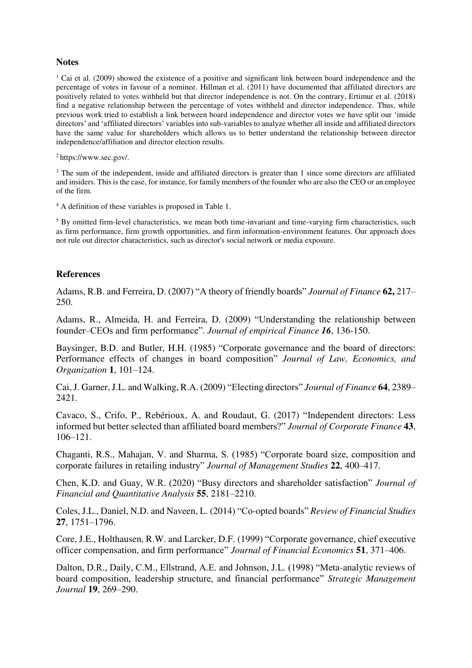#### **Notes**

<sup>1</sup> Cai et al. (2009) showed the existence of a positive and significant link between board independence and the percentage of votes in favour of a nominee. Hillman et al. (2011) have documented that affiliated directors are positively related to votes withheld but that director independence is not. On the contrary, Ertimur et al. (2018) find a negative relationship between the percentage of votes withheld and director independence. Thus, while previous work tried to establish a link between board independence and director votes we have split our 'inside directors' and 'affiliated directors' variables into sub-variables to analyze whether all inside and affiliated directors have the same value for shareholders which allows us to better understand the relationship between director independence/affiliation and director election results.

<sup>2</sup>https://www.sec.gov/.

<sup>3</sup> The sum of the independent, inside and affiliated directors is greater than 1 since some directors are affiliated and insiders. This is the case, for instance, for family members of the founder who are also the CEO or an employee of the firm.

4 A definition of these variables is proposed in Table 1.

 $<sup>5</sup>$  By omitted firm-level characteristics, we mean both time-invariant and time-varying firm characteristics, such</sup> as firm performance, firm growth opportunities, and firm information-environment features. Our approach does not rule out director characteristics, such as director's social network or media exposure.

#### **References**

Adams, R.B. and Ferreira, D. (2007) "A theory of friendly boards" *Journal of Finance* **62,** 217– 250.

Adams, R., Almeida, H. and Ferreira, D. (2009) "Understanding the relationship between founder–CEOs and firm performance". *Journal of empirical Finance 16*, 136-150.

Baysinger, B.D. and Butler, H.H. (1985) "Corporate governance and the board of directors: Performance effects of changes in board composition" *Journal of Law, Economics, and Organization* **1**, 101–124.

Cai, J. Garner, J.L. and Walking, R.A. (2009) "Electing directors" *Journal of Finance* **64**, 2389– 2421.

Cavaco, S., Crifo, P., Rebérioux, A. and Roudaut, G. (2017) "Independent directors: Less informed but better selected than affiliated board members?" *Journal of Corporate Finance* **43**, 106–121.

Chaganti, R.S., Mahajan, V. and Sharma, S. (1985) "Corporate board size, composition and corporate failures in retailing industry" *Journal of Management Studies* **22**, 400–417.

Chen, K.D. and Guay, W.R. (2020) "Busy directors and shareholder satisfaction" *Journal of Financial and Quantitative Analysis* **55**, 2181–2210.

Coles, J.L., Daniel, N.D. and Naveen, L. (2014) "Co-opted boards" *Review of Financial Studies* **27**, 1751–1796.

Core, J.E., Holthausen, R.W. and Larcker, D.F. (1999) "Corporate governance, chief executive officer compensation, and firm performance" *Journal of Financial Economics* **51**, 371–406.

Dalton, D.R., Daily, C.M., Ellstrand, A.E. and Johnson, J.L. (1998) "Meta-analytic reviews of board composition, leadership structure, and financial performance" *Strategic Management Journal* **19**, 269–290.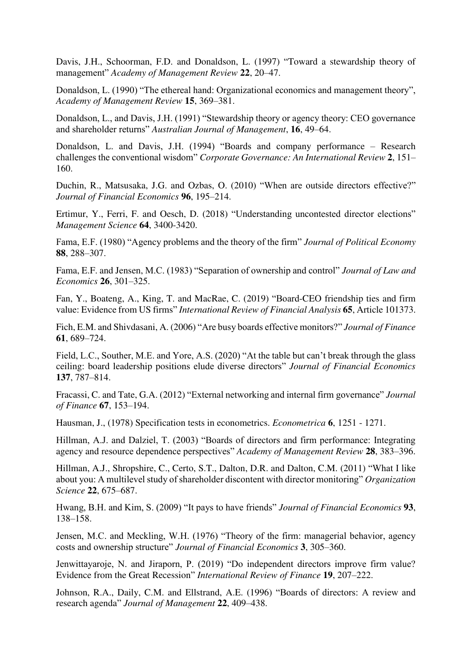Davis, J.H., Schoorman, F.D. and Donaldson, L. (1997) "Toward a stewardship theory of management" *Academy of Management Review* **22**, 20–47.

Donaldson, L. (1990) "The ethereal hand: Organizational economics and management theory", *Academy of Management Review* **15**, 369–381.

Donaldson, L., and Davis, J.H. (1991) "Stewardship theory or agency theory: CEO governance and shareholder returns" *Australian Journal of Management*, **16**, 49–64.

Donaldson, L. and Davis, J.H. (1994) "Boards and company performance – Research challenges the conventional wisdom" *Corporate Governance: An International Review* **2**, 151– 160.

Duchin, R., Matsusaka, J.G. and Ozbas, O. (2010) "When are outside directors effective?" *Journal of Financial Economics* **96**, 195–214.

Ertimur, Y., Ferri, F. and Oesch, D. (2018) "Understanding uncontested director elections" *Management Science* **64**, 3400-3420.

Fama, E.F. (1980) "Agency problems and the theory of the firm" *Journal of Political Economy* **88**, 288–307.

Fama, E.F. and Jensen, M.C. (1983) "Separation of ownership and control" *Journal of Law and Economics* **26**, 301–325.

Fan, Y., Boateng, A., King, T. and MacRae, C. (2019) "Board-CEO friendship ties and firm value: Evidence from US firms" *International Review of Financial Analysis* **65**, Article 101373.

Fich, E.M. and Shivdasani, A. (2006) "Are busy boards effective monitors?" *Journal of Finance* **61**, 689–724.

Field, L.C., Souther, M.E. and Yore, A.S. (2020) "At the table but can't break through the glass ceiling: board leadership positions elude diverse directors" *Journal of Financial Economics* **137**, 787–814.

Fracassi, C. and Tate, G.A. (2012) "External networking and internal firm governance" *Journal of Finance* **67**, 153–194.

Hausman, J., (1978) Specification tests in econometrics. *Econometrica* **6**, 1251 - 1271.

Hillman, A.J. and Dalziel, T. (2003) "Boards of directors and firm performance: Integrating agency and resource dependence perspectives" *Academy of Management Review* **28**, 383–396.

Hillman, A.J., Shropshire, C., Certo, S.T., Dalton, D.R. and Dalton, C.M. (2011) "What I like about you: A multilevel study of shareholder discontent with director monitoring" *Organization Science* **22**, 675–687.

Hwang, B.H. and Kim, S. (2009) "It pays to have friends" *Journal of Financial Economics* **93**, 138–158.

Jensen, M.C. and Meckling, W.H. (1976) "Theory of the firm: managerial behavior, agency costs and ownership structure" *Journal of Financial Economics* **3**, 305–360.

Jenwittayaroje, N. and Jiraporn, P. (2019) "Do independent directors improve firm value? Evidence from the Great Recession" *International Review of Finance* **19**, 207–222.

Johnson, R.A., Daily, C.M. and Ellstrand, A.E. (1996) "Boards of directors: A review and research agenda" *Journal of Management* **22**, 409–438.